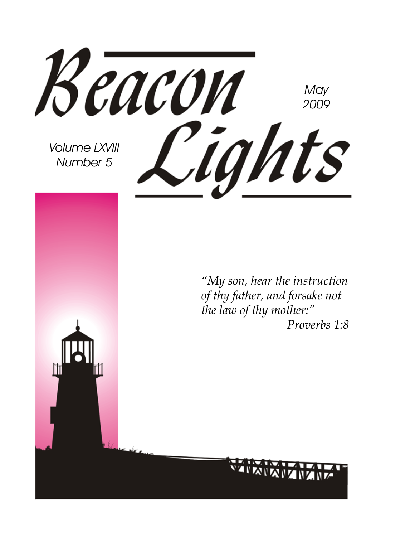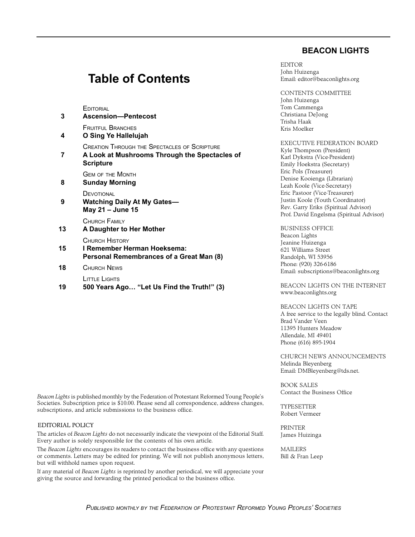#### **BEACON LIGHTS**

#### **Table of Contents**

**EDITORIAL** 

| 3  | <b>Ascension-Pentecost</b>                                                                                        |
|----|-------------------------------------------------------------------------------------------------------------------|
| 4  | <b>FRUITEUL BRANCHES</b><br>O Sing Ye Hallelujah                                                                  |
| 7  | CREATION THROUGH THE SPECTACLES OF SCRIPTURE<br>A Look at Mushrooms Through the Spectacles of<br><b>Scripture</b> |
| 8  | <b>GEM OF THE MONTH</b><br><b>Sunday Morning</b>                                                                  |
| 9  | DEVOTIONAL<br>Watching Daily At My Gates—<br>May 21 - June 15                                                     |
| 13 | CHURCH FAMILY<br>A Daughter to Her Mother                                                                         |
| 15 | CHURCH HISTORY<br>I Remember Herman Hoeksema:<br>Personal Remembrances of a Great Man (8)                         |
| 18 | CHURCH NEWS                                                                                                       |
|    | LITTLE LIGHTS                                                                                                     |

**19 500 Years Ago… "Let Us Find the Truth!" (3)**

EDITOR John Huizenga Email: editor@beaconlights.org

CONTENTS COMMITTEE John Huizenga Tom Cammenga Christiana DeJong Trisha Haak Kris Moelker

EXECUTIVE FEDERATION BOARD Kyle Thompson (President) Karl Dykstra (Vice‑President) Emily Hoekstra (Secretary) Eric Pols (Treasurer) Denise Kooienga (Librarian) Leah Koole (Vice-Secretary) Eric Pastoor (Vice-Treasurer) Justin Koole (Youth Coordinator) Rev. Garry Eriks (Spiritual Advisor) Prof. David Engelsma (Spiritual Advisor)

BUSINESS OFFICE Beacon Lights Jeanine Huizenga 621 Williams Street Randolph, WI 53956 Phone: (920) 326-6186 Email: subscriptions@beaconlights.org

BEACON LIGHTS ON THE INTERNET www.beaconlights.org

BEACON LIGHTS ON TAPE A free service to the legally blind. Contact Brad Vander Veen 11395 Hunters Meadow Allendale, MI 49401 Phone (616) 895-1904

CHURCH NEWS ANNOUNCEMENTS Melinda Bleyenberg Email: DMBleyenberg@tds.net.

BOOK SALES Contact the Business Office

TYPESETTER Robert Vermeer

PRINTER James Huizinga

MAILERS Bill & Fran Leep

*Beacon Lights* is published monthly by the Federation of Protestant Reformed Young People's Societies. Subscription price is \$10.00. Please send all correspondence, address changes, subscriptions, and article submissions to the business office.

#### EDITORIAL POLICY

The articles of *Beacon Lights* do not necessarily indicate the viewpoint of the Editorial Staff. Every author is solely responsible for the contents of his own article.

The *Beacon Lights* encourages its readers to contact the business office with any questions or comments. Letters may be edited for printing. We will not publish anonymous letters, but will withhold names upon request.

If any material of *Beacon Lights* is reprinted by another periodical, we will appreciate your giving the source and forwarding the printed periodical to the business office.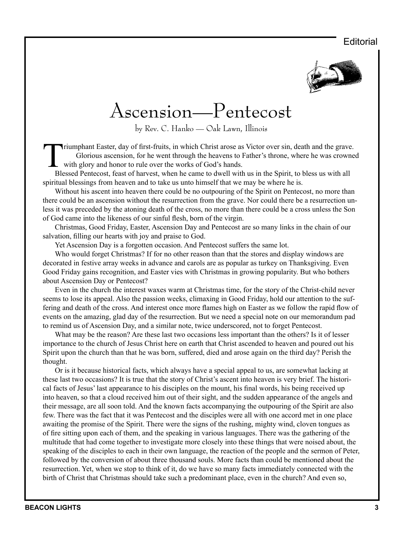#### **Editorial**



### Ascension—Pentecost

by Rev. C. Hanko — Oak Lawn, Illinois

Triumphant Easter, day of first-fruits, in which Christ arose as Victor over sin, death and the grave.<br>
Glorious ascension, for he went through the heavens to Father's throne, where he was crowne<br>
with glory and honor to r Glorious ascension, for he went through the heavens to Father's throne, where he was crowned with glory and honor to rule over the works of God's hands.

Blessed Pentecost, feast of harvest, when he came to dwell with us in the Spirit, to bless us with all spiritual blessings from heaven and to take us unto himself that we may be where he is.

Without his ascent into heaven there could be no outpouring of the Spirit on Pentecost, no more than there could be an ascension without the resurrection from the grave. Nor could there be a resurrection unless it was preceded by the atoning death of the cross, no more than there could be a cross unless the Son of God came into the likeness of our sinful flesh, born of the virgin.

Christmas, Good Friday, Easter, Ascension Day and Pentecost are so many links in the chain of our salvation, filling our hearts with joy and praise to God.

Yet Ascension Day is a forgotten occasion. And Pentecost suffers the same lot.

Who would forget Christmas? If for no other reason than that the stores and display windows are decorated in festive array weeks in advance and carols are as popular as turkey on Thanksgiving. Even Good Friday gains recognition, and Easter vies with Christmas in growing popularity. But who bothers about Ascension Day or Pentecost?

Even in the church the interest waxes warm at Christmas time, for the story of the Christ-child never seems to lose its appeal. Also the passion weeks, climaxing in Good Friday, hold our attention to the suffering and death of the cross. And interest once more flames high on Easter as we follow the rapid flow of events on the amazing, glad day of the resurrection. But we need a special note on our memorandum pad to remind us of Ascension Day, and a similar note, twice underscored, not to forget Pentecost.

What may be the reason? Are these last two occasions less important than the others? Is it of lesser importance to the church of Jesus Christ here on earth that Christ ascended to heaven and poured out his Spirit upon the church than that he was born, suffered, died and arose again on the third day? Perish the thought.

Or is it because historical facts, which always have a special appeal to us, are somewhat lacking at these last two occasions? It is true that the story of Christ's ascent into heaven is very brief. The historical facts of Jesus' last appearance to his disciples on the mount, his final words, his being received up into heaven, so that a cloud received him out of their sight, and the sudden appearance of the angels and their message, are all soon told. And the known facts accompanying the outpouring of the Spirit are also few. There was the fact that it was Pentecost and the disciples were all with one accord met in one place awaiting the promise of the Spirit. There were the signs of the rushing, mighty wind, cloven tongues as of fire sitting upon each of them, and the speaking in various languages. There was the gathering of the multitude that had come together to investigate more closely into these things that were noised about, the speaking of the disciples to each in their own language, the reaction of the people and the sermon of Peter, followed by the conversion of about three thousand souls. More facts than could be mentioned about the resurrection. Yet, when we stop to think of it, do we have so many facts immediately connected with the birth of Christ that Christmas should take such a predominant place, even in the church? And even so,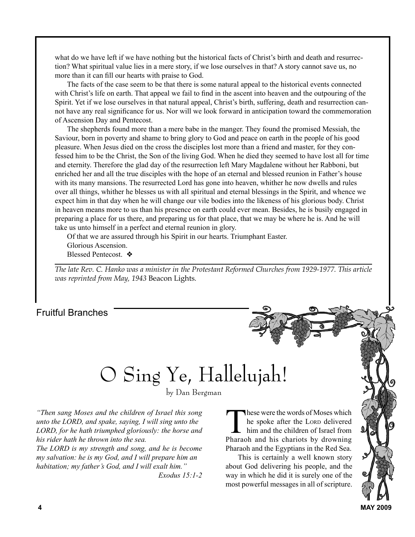what do we have left if we have nothing but the historical facts of Christ's birth and death and resurrection? What spiritual value lies in a mere story, if we lose ourselves in that? A story cannot save us, no more than it can fill our hearts with praise to God.

The facts of the case seem to be that there is some natural appeal to the historical events connected with Christ's life on earth. That appeal we fail to find in the ascent into heaven and the outpouring of the Spirit. Yet if we lose ourselves in that natural appeal, Christ's birth, suffering, death and resurrection cannot have any real significance for us. Nor will we look forward in anticipation toward the commemoration of Ascension Day and Pentecost.

The shepherds found more than a mere babe in the manger. They found the promised Messiah, the Saviour, born in poverty and shame to bring glory to God and peace on earth in the people of his good pleasure. When Jesus died on the cross the disciples lost more than a friend and master, for they confessed him to be the Christ, the Son of the living God. When he died they seemed to have lost all for time and eternity. Therefore the glad day of the resurrection left Mary Magdalene without her Rabboni, but enriched her and all the true disciples with the hope of an eternal and blessed reunion in Father's house with its many mansions. The resurrected Lord has gone into heaven, whither he now dwells and rules over all things, whither he blesses us with all spiritual and eternal blessings in the Spirit, and whence we expect him in that day when he will change our vile bodies into the likeness of his glorious body. Christ in heaven means more to us than his presence on earth could ever mean. Besides, he is busily engaged in preparing a place for us there, and preparing us for that place, that we may be where he is. And he will take us unto himself in a perfect and eternal reunion in glory.

Of that we are assured through his Spirit in our hearts. Triumphant Easter. Glorious Ascension. Blessed Pentecost. ❖

*The late Rev. C. Hanko was a minister in the Protestant Reformed Churches from 1929-1977. This article was reprinted from May, 1943* Beacon Lights*.*

#### Fruitful Branches

## O Sing Ye, Hallelujah!

by Dan Bergman

*"Then sang Moses and the children of Israel this song unto the LORD, and spake, saying, I will sing unto the LORD, for he hath triumphed gloriously: the horse and his rider hath he thrown into the sea.*

*The LORD is my strength and song, and he is become my salvation: he is my God, and I will prepare him an habitation; my father's God, and I will exalt him." Exodus 15:1-2*

These were the words of Moses which<br>he spoke after the Loro delivered<br>him and the children of Israel from<br>Pharaoh and his chariots by drowning he spoke after the Lorp delivered him and the children of Israel from Pharaoh and his chariots by drowning Pharaoh and the Egyptians in the Red Sea.

This is certainly a well known story about God delivering his people, and the way in which he did it is surely one of the most powerful messages in all of scripture.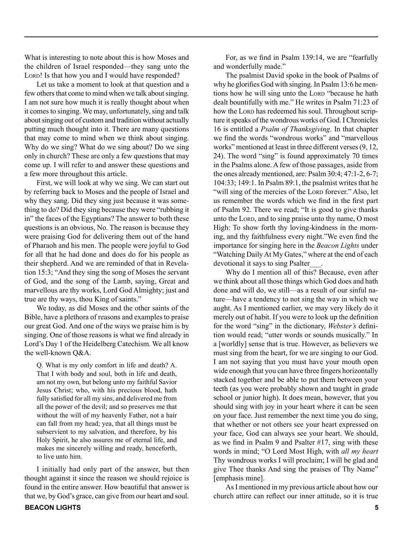What is interesting to note about this is how Moses and the children of Israel responded—they sang unto the LORD! Is that how you and I would have responded?

Let us take a moment to look at that question and a few others that come to mind when we talk about singing. I am not sure how much it is really thought about when it comes to singing. We may, unfortunately, sing and talk about singing out of custom and tradition without actually putting much thought into it. There are many questions that may come to mind when we think about singing. Why do we sing? What do we sing about? Do we sing only in church? These are only a few questions that may come up. I will refer to and answer these questions and a few more throughout this article.

First, we will look at why we sing. We can start out by referring back to Moses and the people of Israel and why they sang. Did they sing just because it was something to do? Did they sing because they were "rubbing it in" the faces of the Egyptians? The answer to both these questions is an obvious, No. The reason is because they were praising God for delivering them out of the hand of Pharaoh and his men. The people were joyful to God for all that he had done and does do for his people as their shepherd. And we are reminded of that in Revelation 15:3; "And they sing the song of Moses the servant of God, and the song of the Lamb, saying, Great and marvellous are thy works, Lord God Almighty; just and true are thy ways, thou King of saints."

We today, as did Moses and the other saints of the Bible, have a plethora of reasons and examples to praise our great God. And one of the ways we praise him is by singing. One of those reasons is what we find already in Lord's Day 1 of the Heidelberg Catechism. We all know the well-known Q&A.

Q. What is my only comfort in life and death? A. That I with body and soul, both in life and death, am not my own, but belong unto my faithful Savior Jesus Christ; who, with his precious blood, hath fully satisfied for all my sins, and delivered me from all the power of the devil; and so preserves me that without the will of my heavenly Father, not a hair can fall from my head; yea, that all things must be subservient to my salvation, and therefore, by his Holy Spirit, he also assures me of eternal life, and makes me sincerely willing and ready, henceforth, to live unto him.

I initially had only part of the answer, but then thought against it since the reason we should rejoice is found in the entire answer. How beautiful that answer is that we, by God's grace, can give from our heart and soul.

For, as we find in Psalm 139:14, we are "fearfully and wonderfully made."

The psalmist David spoke in the book of Psalms of why he glorifies God with singing. In Psalm 13:6 he mentions how he will sing unto the Lord "because he hath dealt bountifully with me." He writes in Psalm 71:23 of how the Lorp has redeemed his soul. Throughout scripture it speaks of the wondrous works of God. I Chronicles 16 is entitled a *Psalm of Thanksgiving*. In that chapter we find the words "wondrous works" and "marvellous works" mentioned at least in three different verses (9, 12, 24). The word "sing" is found approximately 70 times in the Psalms alone. A few of those passages, aside from the ones already mentioned, are: Psalm 30:4; 47:1-2, 6-7; 104:33; 149:1. In Psalm 89:1, the psalmist writes that he "will sing of the mercies of the Lord forever." Also, let us remember the words which we find in the first part of Psalm 92. There we read; "It is good to give thanks unto the Lord, and to sing praise unto thy name, O most High: To show forth thy loving-kindness in the morning, and thy faithfulness every night."We even find the importance for singing here in the *Beacon Lights* under "Watching Daily At My Gates," where at the end of each devotional it says to sing Psalter\_\_\_.

Why do I mention all of this? Because, even after we think about all those things which God does and hath done and will do, we still—as a result of our sinful nature—have a tendency to not sing the way in which we aught. As I mentioned earlier, we may very likely do it merely out of habit. If you were to look up the definition for the word "sing" in the dictionary, *Webster's* definition would read; "utter words or sounds musically." In a [worldly] sense that is true. However, as believers we must sing from the heart, for we are singing to our God. I am not saying that you must have your mouth open wide enough that you can have three fingers horizontally stacked together and be able to put them between your teeth (as you were probably shown and taught in grade school or junior high). It does mean, however, that you should sing with joy in your heart where it can be seen on your face. Just remember the next time you do sing, that whether or not others see your heart expressed on your face, God can always see your heart. We should, as we find in Psalm 9 and Psalter #17, sing with these words in mind; "O Lord Most High, with *all my heart*  Thy wondrous works I will proclaim; I will be glad and give Thee thanks And sing the praises of Thy Name" [emphasis mine].

As I mentioned in my previous article about how our church attire can reflect our inner attitude, so it is true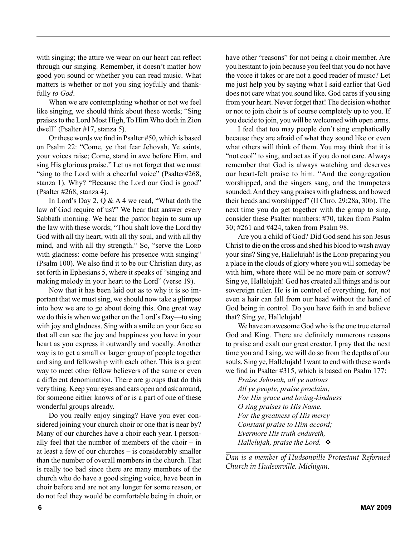with singing; the attire we wear on our heart can reflect through our singing. Remember, it doesn't matter how good you sound or whether you can read music. What matters is whether or not you sing joyfully and thankfully *to God*.

When we are contemplating whether or not we feel like singing, we should think about these words; "Sing praises to the Lord Most High, To Him Who doth in Zion dwell" (Psalter #17, stanza 5).

Or these words we find in Psalter #50, which is based on Psalm 22: "Come, ye that fear Jehovah, Ye saints, your voices raise; Come, stand in awe before Him, and sing His glorious praise." Let us not forget that we must "sing to the Lord with a cheerful voice" (Psalter#268, stanza 1). Why? "Because the Lord our God is good" (Psalter #268, stanza 4).

In Lord's Day 2, Q & A 4 we read, "What doth the law of God require of us?" We hear that answer every Sabbath morning. We hear the pastor begin to sum up the law with these words; "Thou shalt love the Lord thy God with all thy heart, with all thy soul, and with all thy mind, and with all thy strength." So, "serve the LORD with gladness: come before his presence with singing" (Psalm 100). We also find it to be our Christian duty, as set forth in Ephesians 5, where it speaks of "singing and making melody in your heart to the Lord" (verse 19).

Now that it has been laid out as to why it is so important that we must sing, we should now take a glimpse into how we are to go about doing this. One great way we do this is when we gather on the Lord's Day—to sing with joy and gladness. Sing with a smile on your face so that all can see the joy and happiness you have in your heart as you express it outwardly and vocally. Another way is to get a small or larger group of people together and sing and fellowship with each other. This is a great way to meet other fellow believers of the same or even a different denomination. There are groups that do this very thing. Keep your eyes and ears open and ask around, for someone either knows of or is a part of one of these wonderful groups already.

Do you really enjoy singing? Have you ever considered joining your church choir or one that is near by? Many of our churches have a choir each year. I personally feel that the number of members of the choir – in at least a few of our churches – is considerably smaller than the number of overall members in the church. That is really too bad since there are many members of the church who do have a good singing voice, have been in choir before and are not any longer for some reason, or do not feel they would be comfortable being in choir, or have other "reasons" for not being a choir member. Are you hesitant to join because you feel that you do not have the voice it takes or are not a good reader of music? Let me just help you by saying what I said earlier that God does not care what you sound like. God cares if you sing from your heart. Never forget that! The decision whether or not to join choir is of course completely up to you. If you decide to join, you will be welcomed with open arms.

I feel that too may people don't sing emphatically because they are afraid of what they sound like or even what others will think of them. You may think that it is "not cool" to sing, and act as if you do not care. Always remember that God is always watching and deserves our heart-felt praise to him. "And the congregation worshipped, and the singers sang, and the trumpeters sounded: And they sang praises with gladness, and bowed their heads and worshipped" (II Chro. 29:28a, 30b). The next time you do get together with the group to sing, consider these Psalter numbers: #70, taken from Psalm 30; #261 and #424, taken from Psalm 98.

Are you a child of God? Did God send his son Jesus Christ to die on the cross and shed his blood to wash away your sins? Sing ye, Hallelujah! Is the Lorp preparing you a place in the clouds of glory where you will someday be with him, where there will be no more pain or sorrow? Sing ye, Hallelujah! God has created all things and is our sovereign ruler. He is in control of everything, for, not even a hair can fall from our head without the hand of God being in control. Do you have faith in and believe that? Sing ye, Hallelujah!

We have an awesome God who is the one true eternal God and King. There are definitely numerous reasons to praise and exalt our great creator. I pray that the next time you and I sing, we will do so from the depths of our souls. Sing ye, Hallelujah! I want to end with these words we find in Psalter #315, which is based on Psalm 177:

*Praise Jehovah, all ye nations All ye people, praise proclaim; For His grace and loving-kindness O sing praises to His Name. For the greatness of His mercy Constant praise to Him accord; Evermore His truth endureth, Hallelujah, praise the Lord.*  $\bullet$ 

*Dan is a member of Hudsonville Protestant Reformed Church in Hudsonville, Michigan.*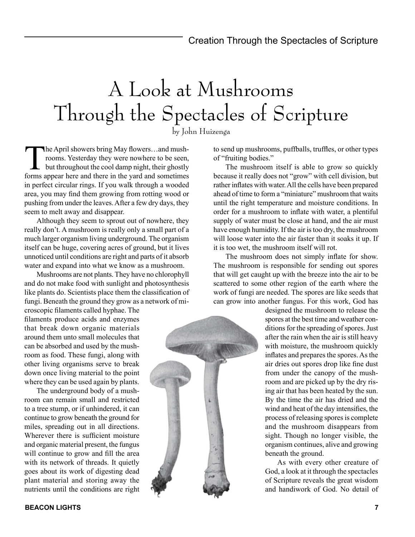## A Look at Mushrooms Through the Spectacles of Scripture

by John Huizenga

The April showers bring May flowers...and mushrooms. Yesterday they were nowhere to be seen, but throughout the cool damp night, their ghostly forms appear here and there in the yard and sometimes in perfect circular rings. If you walk through a wooded area, you may find them growing from rotting wood or pushing from under the leaves. After a few dry days, they seem to melt away and disappear.

Although they seem to sprout out of nowhere, they really don't. A mushroom is really only a small part of a much larger organism living underground. The organism itself can be huge, covering acres of ground, but it lives unnoticed until conditions are right and parts of it absorb water and expand into what we know as a mushroom.

Mushrooms are not plants. They have no chlorophyll and do not make food with sunlight and photosynthesis like plants do. Scientists place them the classification of fungi. Beneath the ground they grow as a network of mi-

croscopic filaments called hyphae. The filaments produce acids and enzymes that break down organic materials around them unto small molecules that can be absorbed and used by the mushroom as food. These fungi, along with other living organisms serve to break down once living material to the point where they can be used again by plants.

The underground body of a mushroom can remain small and restricted to a tree stump, or if unhindered, it can continue to grow beneath the ground for miles, spreading out in all directions. Wherever there is sufficient moisture and organic material present, the fungus will continue to grow and fill the area with its network of threads. It quietly goes about its work of digesting dead plant material and storing away the nutrients until the conditions are right

**BEACON LIGHTS 7**

to send up mushrooms, puffballs, truffles, or other types of "fruiting bodies."

The mushroom itself is able to grow so quickly because it really does not "grow" with cell division, but rather inflates with water. All the cells have been prepared ahead of time to form a "miniature" mushroom that waits until the right temperature and moisture conditions. In order for a mushroom to inflate with water, a plentiful supply of water must be close at hand, and the air must have enough humidity. If the air is too dry, the mushroom will loose water into the air faster than it soaks it up. If it is too wet, the mushroom itself will rot.

The mushroom does not simply inflate for show. The mushroom is responsible for sending out spores that will get caught up with the breeze into the air to be scattered to some other region of the earth where the work of fungi are needed. The spores are like seeds that can grow into another fungus. For this work, God has

> designed the mushroom to release the spores at the best time and weather conditions for the spreading of spores. Just after the rain when the air is still heavy with moisture, the mushroom quickly inflates and prepares the spores. As the air dries out spores drop like fine dust from under the canopy of the mushroom and are picked up by the dry rising air that has been heated by the sun. By the time the air has dried and the wind and heat of the day intensifies, the process of releasing spores is complete and the mushroom disappears from sight. Though no longer visible, the organism continues, alive and growing beneath the ground.

> As with every other creature of God, a look at it through the spectacles of Scripture reveals the great wisdom and handiwork of God. No detail of

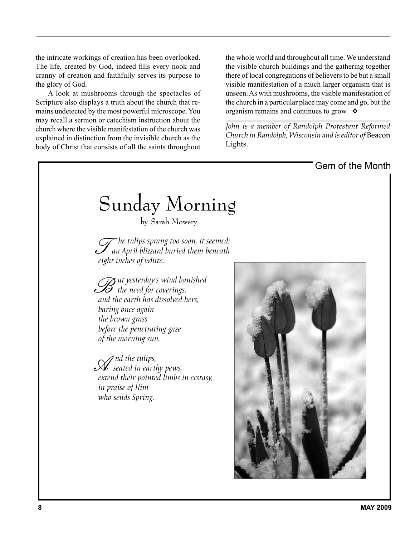the intricate workings of creation has been overlooked. The life, created by God, indeed fills every nook and cranny of creation and faithfully serves its purpose to the glory of God.

A look at mushrooms through the spectacles of Scripture also displays a truth about the church that remains undetected by the most powerful microscope. You may recall a sermon or catechism instruction about the church where the visible manifestation of the church was explained in distinction from the invisible church as the body of Christ that consists of all the saints throughout the whole world and throughout all time. We understand the visible church buildings and the gathering together there of local congregations of believers to be but a small visible manifestation of a much larger organism that is unseen. As with mushrooms, the visible manifestation of the church in a particular place may come and go, but the organism remains and continues to grow.  $\triangle$ 

*John is a member of Randolph Protestant Reformed Church in Randolph, Wisconsin and is editor of* Beacon Lights.

Gem of the Month

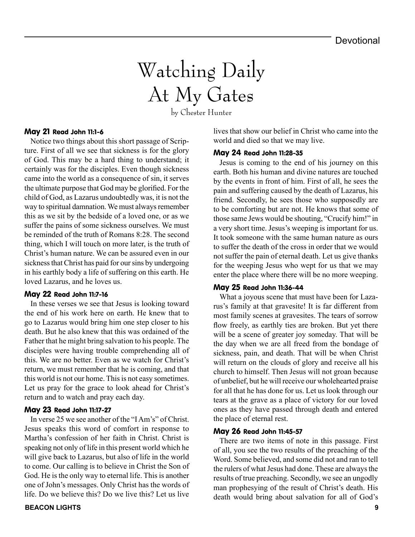## Watching Daily At My Gates

by Chester Hunter

#### May 21 Read John 11:1-6

Notice two things about this short passage of Scripture. First of all we see that sickness is for the glory of God. This may be a hard thing to understand; it certainly was for the disciples. Even though sickness came into the world as a consequence of sin, it serves the ultimate purpose that God may be glorified. For the child of God, as Lazarus undoubtedly was, it is not the way to spiritual damnation. We must always remember this as we sit by the bedside of a loved one, or as we suffer the pains of some sickness ourselves. We must be reminded of the truth of Romans 8:28. The second thing, which I will touch on more later, is the truth of Christ's human nature. We can be assured even in our sickness that Christ has paid for our sins by undergoing in his earthly body a life of suffering on this earth. He loved Lazarus, and he loves us.

#### May 22 Read John 11:7-16

In these verses we see that Jesus is looking toward the end of his work here on earth. He knew that to go to Lazarus would bring him one step closer to his death. But he also knew that this was ordained of the Father that he might bring salvation to his people. The disciples were having trouble comprehending all of this. We are no better. Even as we watch for Christ's return, we must remember that he is coming, and that this world is not our home. This is not easy sometimes. Let us pray for the grace to look ahead for Christ's return and to watch and pray each day.

#### May 23 Read John 11:17-27

In verse 25 we see another of the "I Am's" of Christ. Jesus speaks this word of comfort in response to Martha's confession of her faith in Christ. Christ is speaking not only of life in this present world which he will give back to Lazarus, but also of life in the world to come. Our calling is to believe in Christ the Son of God. He is the only way to eternal life. This is another one of John's messages. Only Christ has the words of life. Do we believe this? Do we live this? Let us live

lives that show our belief in Christ who came into the world and died so that we may live.

#### May 24 Read John 11:28-35

Jesus is coming to the end of his journey on this earth. Both his human and divine natures are touched by the events in front of him. First of all, he sees the pain and suffering caused by the death of Lazarus, his friend. Secondly, he sees those who supposedly are to be comforting but are not. He knows that some of those same Jews would be shouting, "Crucify him!" in a very short time. Jesus's weeping is important for us. It took someone with the same human nature as ours to suffer the death of the cross in order that we would not suffer the pain of eternal death. Let us give thanks for the weeping Jesus who wept for us that we may enter the place where there will be no more weeping.

#### May 25 Read John 11:36-44

What a joyous scene that must have been for Lazarus's family at that gravesite! It is far different from most family scenes at gravesites. The tears of sorrow flow freely, as earthly ties are broken. But yet there will be a scene of greater joy someday. That will be the day when we are all freed from the bondage of sickness, pain, and death. That will be when Christ will return on the clouds of glory and receive all his church to himself. Then Jesus will not groan because of unbelief, but he will receive our wholehearted praise for all that he has done for us. Let us look through our tears at the grave as a place of victory for our loved ones as they have passed through death and entered the place of eternal rest.

#### May 26 Read John 11:45-57

There are two items of note in this passage. First of all, you see the two results of the preaching of the Word. Some believed, and some did not and ran to tell the rulers of what Jesus had done. These are always the results of true preaching. Secondly, we see an ungodly man prophesying of the result of Christ's death. His death would bring about salvation for all of God's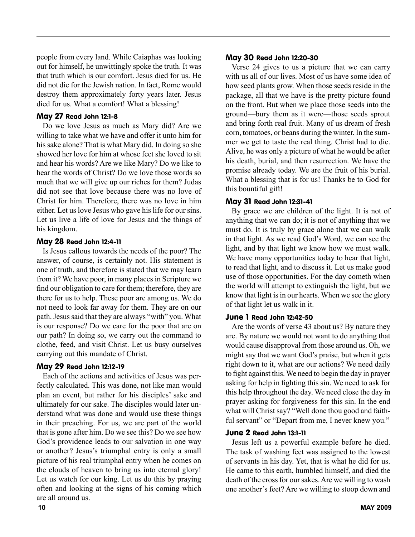people from every land. While Caiaphas was looking out for himself, he unwittingly spoke the truth. It was that truth which is our comfort. Jesus died for us. He did not die for the Jewish nation. In fact, Rome would destroy them approximately forty years later. Jesus died for us. What a comfort! What a blessing!

#### May 27 Read John 12:1-8

Do we love Jesus as much as Mary did? Are we willing to take what we have and offer it unto him for his sake alone? That is what Mary did. In doing so she showed her love for him at whose feet she loved to sit and hear his words? Are we like Mary? Do we like to hear the words of Christ? Do we love those words so much that we will give up our riches for them? Judas did not see that love because there was no love of Christ for him. Therefore, there was no love in him either. Let us love Jesus who gave his life for our sins. Let us live a life of love for Jesus and the things of his kingdom.

#### May 28 Read John 12:4-11

Is Jesus callous towards the needs of the poor? The answer, of course, is certainly not. His statement is one of truth, and therefore is stated that we may learn from it? We have poor, in many places in Scripture we find our obligation to care for them; therefore, they are there for us to help. These poor are among us. We do not need to look far away for them. They are on our path. Jesus said that they are always "with" you. What is our response? Do we care for the poor that are on our path? In doing so, we carry out the command to clothe, feed, and visit Christ. Let us busy ourselves carrying out this mandate of Christ.

#### May 29 Read John 12:12-19

Each of the actions and activities of Jesus was perfectly calculated. This was done, not like man would plan an event, but rather for his disciples' sake and ultimately for our sake. The disciples would later understand what was done and would use these things in their preaching. For us, we are part of the world that is gone after him. Do we see this? Do we see how God's providence leads to our salvation in one way or another? Jesus's triumphal entry is only a small picture of his real triumphal entry when he comes on the clouds of heaven to bring us into eternal glory! Let us watch for our king. Let us do this by praying often and looking at the signs of his coming which are all around us.

#### May 30 Read John 12:20-30

Verse 24 gives to us a picture that we can carry with us all of our lives. Most of us have some idea of how seed plants grow. When those seeds reside in the package, all that we have is the pretty picture found on the front. But when we place those seeds into the ground—bury them as it were—those seeds sprout and bring forth real fruit. Many of us dream of fresh corn, tomatoes, or beans during the winter. In the summer we get to taste the real thing. Christ had to die. Alive, he was only a picture of what he would be after his death, burial, and then resurrection. We have the promise already today. We are the fruit of his burial. What a blessing that is for us! Thanks be to God for this bountiful gift!

#### May 31 Read John 12:31-41

By grace we are children of the light. It is not of anything that we can do; it is not of anything that we must do. It is truly by grace alone that we can walk in that light. As we read God's Word, we can see the light, and by that light we know how we must walk. We have many opportunities today to hear that light, to read that light, and to discuss it. Let us make good use of those opportunities. For the day cometh when the world will attempt to extinguish the light, but we know that light is in our hearts. When we see the glory of that light let us walk in it.

#### June 1 Read John 12:42-50

Are the words of verse 43 about us? By nature they are. By nature we would not want to do anything that would cause disapproval from those around us. Oh, we might say that we want God's praise, but when it gets right down to it, what are our actions? We need daily to fight against this. We need to begin the day in prayer asking for help in fighting this sin. We need to ask for this help throughout the day. We need close the day in prayer asking for forgiveness for this sin. In the end what will Christ say? "Well done thou good and faithful servant" or "Depart from me, I never knew you."

#### June 2 Read John 13:1-11

Jesus left us a powerful example before he died. The task of washing feet was assigned to the lowest of servants in his day. Yet, that is what he did for us. He came to this earth, humbled himself, and died the death of the cross for our sakes. Are we willing to wash one another's feet? Are we willing to stoop down and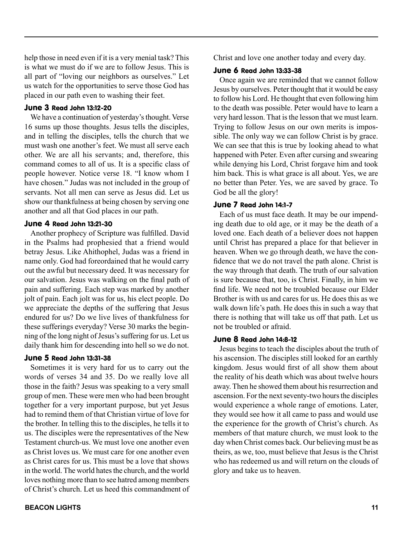help those in need even if it is a very menial task? This is what we must do if we are to follow Jesus. This is all part of "loving our neighbors as ourselves." Let us watch for the opportunities to serve those God has placed in our path even to washing their feet.

#### June 3 Read John 13:12-20

We have a continuation of yesterday's thought. Verse 16 sums up those thoughts. Jesus tells the disciples, and in telling the disciples, tells the church that we must wash one another's feet. We must all serve each other. We are all his servants; and, therefore, this command comes to all of us. It is a specific class of people however. Notice verse 18. "I know whom I have chosen." Judas was not included in the group of servants. Not all men can serve as Jesus did. Let us show our thankfulness at being chosen by serving one another and all that God places in our path.

#### June 4 Read John 13:21-30

Another prophecy of Scripture was fulfilled. David in the Psalms had prophesied that a friend would betray Jesus. Like Ahithophel, Judas was a friend in name only. God had foreordained that he would carry out the awful but necessary deed. It was necessary for our salvation. Jesus was walking on the final path of pain and suffering. Each step was marked by another jolt of pain. Each jolt was for us, his elect people. Do we appreciate the depths of the suffering that Jesus endured for us? Do we live lives of thankfulness for these sufferings everyday? Verse 30 marks the beginning of the long night of Jesus's suffering for us. Let us daily thank him for descending into hell so we do not.

#### June 5 Read John 13:31-38

Sometimes it is very hard for us to carry out the words of verses 34 and 35. Do we really love all those in the faith? Jesus was speaking to a very small group of men. These were men who had been brought together for a very important purpose, but yet Jesus had to remind them of that Christian virtue of love for the brother. In telling this to the disciples, he tells it to us. The disciples were the representatives of the New Testament church-us. We must love one another even as Christ loves us. We must care for one another even as Christ cares for us. This must be a love that shows in the world. The world hates the church, and the world loves nothing more than to see hatred among members of Christ's church. Let us heed this commandment of Christ and love one another today and every day.

#### June 6 Read John 13:33-38

Once again we are reminded that we cannot follow Jesus by ourselves. Peter thought that it would be easy to follow his Lord. He thought that even following him to the death was possible. Peter would have to learn a very hard lesson. That is the lesson that we must learn. Trying to follow Jesus on our own merits is impossible. The only way we can follow Christ is by grace. We can see that this is true by looking ahead to what happened with Peter. Even after cursing and swearing while denying his Lord, Christ forgave him and took him back. This is what grace is all about. Yes, we are no better than Peter. Yes, we are saved by grace. To God be all the glory!

#### June 7 Read John 14:1-7

Each of us must face death. It may be our impending death due to old age, or it may be the death of a loved one. Each death of a believer does not happen until Christ has prepared a place for that believer in heaven. When we go through death, we have the confidence that we do not travel the path alone. Christ is the way through that death. The truth of our salvation is sure because that, too, is Christ. Finally, in him we find life. We need not be troubled because our Elder Brother is with us and cares for us. He does this as we walk down life's path. He does this in such a way that there is nothing that will take us off that path. Let us not be troubled or afraid.

#### June 8 Read John 14:8-12

Jesus begins to teach the disciples about the truth of his ascension. The disciples still looked for an earthly kingdom. Jesus would first of all show them about the reality of his death which was about twelve hours away. Then he showed them about his resurrection and ascension. For the next seventy-two hours the disciples would experience a whole range of emotions. Later, they would see how it all came to pass and would use the experience for the growth of Christ's church. As members of that mature church, we must look to the day when Christ comes back. Our believing must be as theirs, as we, too, must believe that Jesus is the Christ who has redeemed us and will return on the clouds of glory and take us to heaven.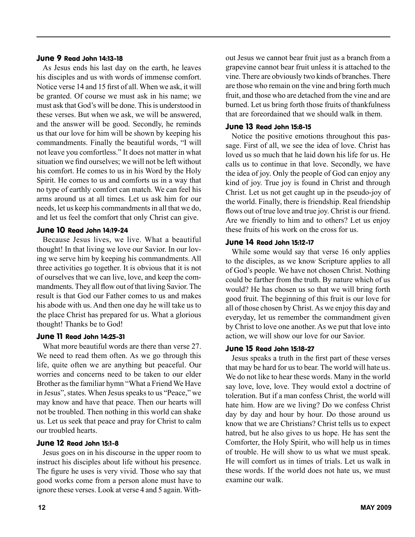#### June 9 Read John 14:13-18

As Jesus ends his last day on the earth, he leaves his disciples and us with words of immense comfort. Notice verse 14 and 15 first of all. When we ask, it will be granted. Of course we must ask in his name; we must ask that God's will be done. This is understood in these verses. But when we ask, we will be answered, and the answer will be good. Secondly, he reminds us that our love for him will be shown by keeping his commandments. Finally the beautiful words, "I will not leave you comfortless." It does not matter in what situation we find ourselves; we will not be left without his comfort. He comes to us in his Word by the Holy Spirit. He comes to us and comforts us in a way that no type of earthly comfort can match. We can feel his arms around us at all times. Let us ask him for our needs, let us keep his commandments in all that we do, and let us feel the comfort that only Christ can give.

#### June 10 Read John 14:19-24

Because Jesus lives, we live. What a beautiful thought! In that living we love our Savior. In our loving we serve him by keeping his commandments. All three activities go together. It is obvious that it is not of ourselves that we can live, love, and keep the commandments. They all flow out of that living Savior. The result is that God our Father comes to us and makes his abode with us. And then one day he will take us to the place Christ has prepared for us. What a glorious thought! Thanks be to God!

#### June 11 Read John 14:25-31

What more beautiful words are there than verse 27. We need to read them often. As we go through this life, quite often we are anything but peaceful. Our worries and concerns need to be taken to our elder Brother as the familiar hymn "What a Friend We Have in Jesus", states. When Jesus speaks to us "Peace," we may know and have that peace. Then our hearts will not be troubled. Then nothing in this world can shake us. Let us seek that peace and pray for Christ to calm our troubled hearts.

#### June 12 Read John 15:1-8

Jesus goes on in his discourse in the upper room to instruct his disciples about life without his presence. The figure he uses is very vivid. Those who say that good works come from a person alone must have to ignore these verses. Look at verse 4 and 5 again. Without Jesus we cannot bear fruit just as a branch from a grapevine cannot bear fruit unless it is attached to the vine. There are obviously two kinds of branches. There are those who remain on the vine and bring forth much fruit, and those who are detached from the vine and are burned. Let us bring forth those fruits of thankfulness that are foreordained that we should walk in them.

#### June 13 Read John 15:8-15

Notice the positive emotions throughout this passage. First of all, we see the idea of love. Christ has loved us so much that he laid down his life for us. He calls us to continue in that love. Secondly, we have the idea of joy. Only the people of God can enjoy any kind of joy. True joy is found in Christ and through Christ. Let us not get caught up in the pseudo-joy of the world. Finally, there is friendship. Real friendship flows out of true love and true joy. Christ is our friend. Are we friendly to him and to others? Let us enjoy these fruits of his work on the cross for us.

#### June 14 Read John 15:12-17

While some would say that verse 16 only applies to the disciples, as we know Scripture applies to all of God's people. We have not chosen Christ. Nothing could be farther from the truth. By nature which of us would? He has chosen us so that we will bring forth good fruit. The beginning of this fruit is our love for all of those chosen by Christ. As we enjoy this day and everyday, let us remember the commandment given by Christ to love one another. As we put that love into action, we will show our love for our Savior.

#### June 15 Read John 15:18-27

Jesus speaks a truth in the first part of these verses that may be hard for us to bear. The world will hate us. We do not like to hear these words. Many in the world say love, love, love. They would extol a doctrine of toleration. But if a man confess Christ, the world will hate him. How are we living? Do we confess Christ day by day and hour by hour. Do those around us know that we are Christians? Christ tells us to expect hatred, but he also gives to us hope. He has sent the Comforter, the Holy Spirit, who will help us in times of trouble. He will show to us what we must speak. He will comfort us in times of trials. Let us walk in these words. If the world does not hate us, we must examine our walk.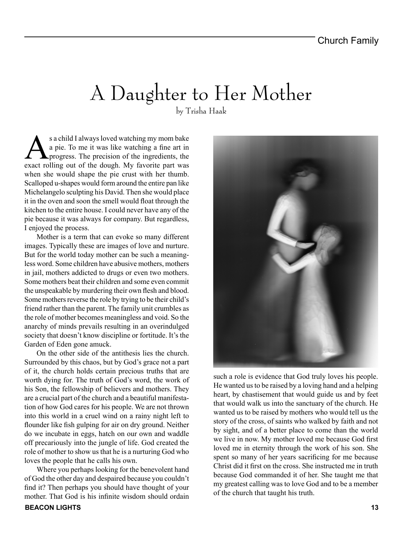## A Daughter to Her Mother

by Trisha Haak

s a child I always loved watching my mom bake<br>a pie. To me it was like watching a fine art in<br>progress. The precision of the ingredients, the<br>exact rolling out of the dough My favorite part was a pie. To me it was like watching a fine art in progress. The precision of the ingredients, the exact rolling out of the dough. My favorite part was when she would shape the pie crust with her thumb. Scalloped u-shapes would form around the entire pan like Michelangelo sculpting his David. Then she would place it in the oven and soon the smell would float through the kitchen to the entire house. I could never have any of the pie because it was always for company. But regardless, I enjoyed the process.

Mother is a term that can evoke so many different images. Typically these are images of love and nurture. But for the world today mother can be such a meaningless word. Some children have abusive mothers, mothers in jail, mothers addicted to drugs or even two mothers. Some mothers beat their children and some even commit the unspeakable by murdering their own flesh and blood. Some mothers reverse the role by trying to be their child's friend rather than the parent. The family unit crumbles as the role of mother becomes meaningless and void. So the anarchy of minds prevails resulting in an overindulged society that doesn't know discipline or fortitude. It's the Garden of Eden gone amuck.

On the other side of the antithesis lies the church. Surrounded by this chaos, but by God's grace not a part of it, the church holds certain precious truths that are worth dying for. The truth of God's word, the work of his Son, the fellowship of believers and mothers. They are a crucial part of the church and a beautiful manifestation of how God cares for his people. We are not thrown into this world in a cruel wind on a rainy night left to flounder like fish gulping for air on dry ground. Neither do we incubate in eggs, hatch on our own and waddle off precariously into the jungle of life. God created the role of mother to show us that he is a nurturing God who loves the people that he calls his own.

Where you perhaps looking for the benevolent hand of God the other day and despaired because you couldn't find it? Then perhaps you should have thought of your mother. That God is his infinite wisdom should ordain



such a role is evidence that God truly loves his people. He wanted us to be raised by a loving hand and a helping heart, by chastisement that would guide us and by feet that would walk us into the sanctuary of the church. He wanted us to be raised by mothers who would tell us the story of the cross, of saints who walked by faith and not by sight, and of a better place to come than the world we live in now. My mother loved me because God first loved me in eternity through the work of his son. She spent so many of her years sacrificing for me because Christ did it first on the cross. She instructed me in truth because God commanded it of her. She taught me that my greatest calling was to love God and to be a member of the church that taught his truth.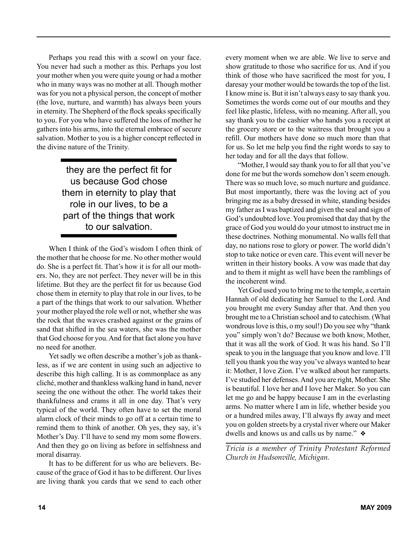Perhaps you read this with a scowl on your face. You never had such a mother as this. Perhaps you lost your mother when you were quite young or had a mother who in many ways was no mother at all. Though mother was for you not a physical person, the concept of mother (the love, nurture, and warmth) has always been yours in eternity. The Shepherd of the flock speaks specifically to you. For you who have suffered the loss of mother he gathers into his arms, into the eternal embrace of secure salvation. Mother to you is a higher concept reflected in the divine nature of the Trinity.

> they are the perfect fit for us because God chose them in eternity to play that role in our lives, to be a part of the things that work to our salvation.

When I think of the God's wisdom I often think of the mother that he choose for me. No other mother would do. She is a perfect fit. That's how it is for all our mothers. No, they are not perfect. They never will be in this lifetime. But they are the perfect fit for us because God chose them in eternity to play that role in our lives, to be a part of the things that work to our salvation. Whether your mother played the role well or not, whether she was the rock that the waves crashed against or the grains of sand that shifted in the sea waters, she was the mother that God choose for you. And for that fact alone you have no need for another.

Yet sadly we often describe a mother's job as thankless, as if we are content in using such an adjective to describe this high calling. It is as commonplace as any cliché, mother and thankless walking hand in hand, never seeing the one without the other. The world takes their thankfulness and crams it all in one day. That's very typical of the world. They often have to set the moral alarm clock of their minds to go off at a certain time to remind them to think of another. Oh yes, they say, it's Mother's Day. I'll have to send my mom some flowers. And then they go on living as before in selfishness and moral disarray.

It has to be different for us who are believers. Because of the grace of God it has to be different. Our lives are living thank you cards that we send to each other every moment when we are able. We live to serve and show gratitude to those who sacrifice for us. And if you think of those who have sacrificed the most for you, I daresay your mother would be towards the top of the list. I know mine is. But it isn't always easy to say thank you. Sometimes the words come out of our mouths and they feel like plastic, lifeless, with no meaning. After all, you say thank you to the cashier who hands you a receipt at the grocery store or to the waitress that brought you a refill. Our mothers have done so much more than that for us. So let me help you find the right words to say to her today and for all the days that follow.

"Mother, I would say thank you to for all that you've done for me but the words somehow don't seem enough. There was so much love, so much nurture and guidance. But most importantly, there was the loving act of you bringing me as a baby dressed in white, standing besides my father as I was baptized and given the seal and sign of God's undoubted love. You promised that day that by the grace of God you would do your utmost to instruct me in these doctrines. Nothing monumental. No walls fell that day, no nations rose to glory or power. The world didn't stop to take notice or even care. This event will never be written in their history books. A vow was made that day and to them it might as well have been the ramblings of the incoherent wind.

Yet God used you to bring me to the temple, a certain Hannah of old dedicating her Samuel to the Lord. And you brought me every Sunday after that. And then you brought me to a Christian school and to catechism. (What wondrous love is this, o my soul!) Do you see why "thank you" simply won't do? Because we both know, Mother, that it was all the work of God. It was his hand. So I'll speak to you in the language that you know and love. I'll tell you thank you the way you've always wanted to hear it: Mother, I love Zion. I've walked about her ramparts. I've studied her defenses. And you are right, Mother. She is beautiful. I love her and I love her Maker. So you can let me go and be happy because I am in the everlasting arms. No matter where I am in life, whether beside you or a hundred miles away, I'll always fly away and meet you on golden streets by a crystal river where our Maker dwells and knows us and calls us by name."  $\triangleleft$ 

*Tricia is a member of Trinity Protestant Reformed Church in Hudsonville, Michigan.*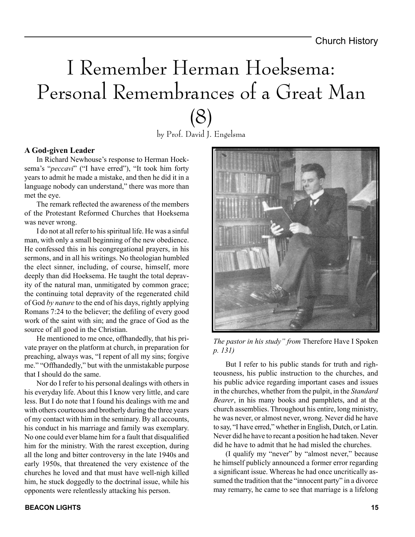## I Remember Herman Hoeksema: Personal Remembrances of a Great Man (8)

by Prof. David J. Engelsma

#### **A God-given Leader**

In Richard Newhouse's response to Herman Hoeksema's "*peccavi*" ("I have erred"), "It took him forty years to admit he made a mistake, and then he did it in a language nobody can understand," there was more than met the eye.

The remark reflected the awareness of the members of the Protestant Reformed Churches that Hoeksema was never wrong.

I do not at all refer to his spiritual life. He was a sinful man, with only a small beginning of the new obedience. He confessed this in his congregational prayers, in his sermons, and in all his writings. No theologian humbled the elect sinner, including, of course, himself, more deeply than did Hoeksema. He taught the total depravity of the natural man, unmitigated by common grace; the continuing total depravity of the regenerated child of God *by nature* to the end of his days, rightly applying Romans 7:24 to the believer; the defiling of every good work of the saint with sin; and the grace of God as the source of all good in the Christian.

He mentioned to me once, offhandedly, that his private prayer on the platform at church, in preparation for preaching, always was, "I repent of all my sins; forgive me." "Offhandedly," but with the unmistakable purpose that I should do the same.

Nor do I refer to his personal dealings with others in his everyday life. About this I know very little, and care less. But I do note that I found his dealings with me and with others courteous and brotherly during the three years of my contact with him in the seminary. By all accounts, his conduct in his marriage and family was exemplary. No one could ever blame him for a fault that disqualified him for the ministry. With the rarest exception, during all the long and bitter controversy in the late 1940s and early 1950s, that threatened the very existence of the churches he loved and that must have well-nigh killed him, he stuck doggedly to the doctrinal issue, while his opponents were relentlessly attacking his person.



*The pastor in his study" from* Therefore Have I Spoken *p. 131)*

But I refer to his public stands for truth and righteousness, his public instruction to the churches, and his public advice regarding important cases and issues in the churches, whether from the pulpit, in the *Standard Bearer*, in his many books and pamphlets, and at the church assemblies. Throughout his entire, long ministry, he was never, or almost never, wrong. Never did he have to say, "I have erred," whether in English, Dutch, or Latin. Never did he have to recant a position he had taken. Never did he have to admit that he had misled the churches.

(I qualify my "never" by "almost never," because he himself publicly announced a former error regarding a significant issue. Whereas he had once uncritically assumed the tradition that the "innocent party" in a divorce may remarry, he came to see that marriage is a lifelong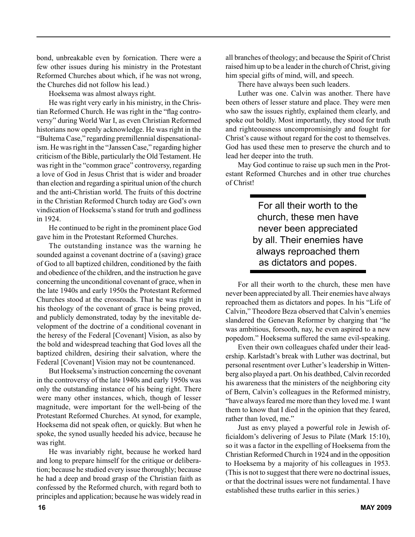bond, unbreakable even by fornication. There were a few other issues during his ministry in the Protestant Reformed Churches about which, if he was not wrong, the Churches did not follow his lead.)

Hoeksema was almost always right.

He was right very early in his ministry, in the Christian Reformed Church. He was right in the "flag controversy" during World War I, as even Christian Reformed historians now openly acknowledge. He was right in the "Bultema Case," regarding premillennial dispensationalism. He was right in the "Janssen Case," regarding higher criticism of the Bible, particularly the Old Testament. He was right in the "common grace" controversy, regarding a love of God in Jesus Christ that is wider and broader than election and regarding a spiritual union of the church and the anti-Christian world. The fruits of this doctrine in the Christian Reformed Church today are God's own vindication of Hoeksema's stand for truth and godliness in 1924.

He continued to be right in the prominent place God gave him in the Protestant Reformed Churches.

The outstanding instance was the warning he sounded against a covenant doctrine of a (saving) grace of God to all baptized children, conditioned by the faith and obedience of the children, and the instruction he gave concerning the unconditional covenant of grace, when in the late 1940s and early 1950s the Protestant Reformed Churches stood at the crossroads. That he was right in his theology of the covenant of grace is being proved, and publicly demonstrated, today by the inevitable development of the doctrine of a conditional covenant in the heresy of the Federal [Covenant] Vision, as also by the bold and widespread teaching that God loves all the baptized children, desiring their salvation, where the Federal [Covenant] Vision may not be countenanced.

But Hoeksema's instruction concerning the covenant in the controversy of the late 1940s and early 1950s was only the outstanding instance of his being right. There were many other instances, which, though of lesser magnitude, were important for the well-being of the Protestant Reformed Churches. At synod, for example, Hoeksema did not speak often, or quickly. But when he spoke, the synod usually heeded his advice, because he was right.

He was invariably right, because he worked hard and long to prepare himself for the critique or deliberation; because he studied every issue thoroughly; because he had a deep and broad grasp of the Christian faith as confessed by the Reformed church, with regard both to principles and application; because he was widely read in all branches of theology; and because the Spirit of Christ raised him up to be a leader in the church of Christ, giving him special gifts of mind, will, and speech.

There have always been such leaders.

Luther was one. Calvin was another. There have been others of lesser stature and place. They were men who saw the issues rightly, explained them clearly, and spoke out boldly. Most importantly, they stood for truth and righteousness uncompromisingly and fought for Christ's cause without regard for the cost to themselves. God has used these men to preserve the church and to lead her deeper into the truth.

May God continue to raise up such men in the Protestant Reformed Churches and in other true churches of Christ!

> For all their worth to the church, these men have never been appreciated by all. Their enemies have always reproached them as dictators and popes.

For all their worth to the church, these men have never been appreciated by all. Their enemies have always reproached them as dictators and popes. In his "Life of Calvin," Theodore Beza observed that Calvin's enemies slandered the Genevan Reformer by charging that "he was ambitious, forsooth, nay, he even aspired to a new popedom." Hoeksema suffered the same evil-speaking.

Even their own colleagues chafed under their leadership. Karlstadt's break with Luther was doctrinal, but personal resentment over Luther's leadership in Wittenberg also played a part. On his deathbed, Calvin recorded his awareness that the ministers of the neighboring city of Bern, Calvin's colleagues in the Reformed ministry, "have always feared me more than they loved me. I want them to know that I died in the opinion that they feared, rather than loved, me."

Just as envy played a powerful role in Jewish officialdom's delivering of Jesus to Pilate (Mark 15:10), so it was a factor in the expelling of Hoeksema from the Christian Reformed Church in 1924 and in the opposition to Hoeksema by a majority of his colleagues in 1953. (This is not to suggest that there were no doctrinal issues, or that the doctrinal issues were not fundamental. I have established these truths earlier in this series.)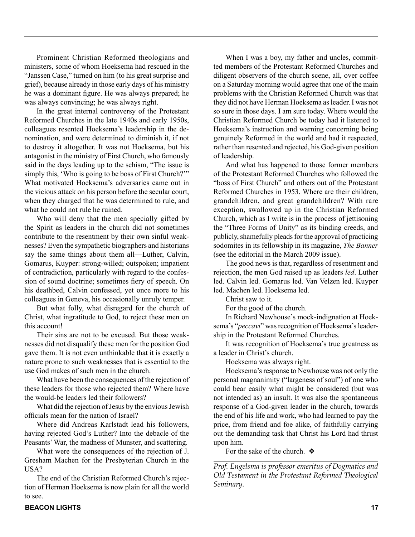Prominent Christian Reformed theologians and ministers, some of whom Hoeksema had rescued in the "Janssen Case," turned on him (to his great surprise and grief), because already in those early days of his ministry he was a dominant figure. He was always prepared; he was always convincing; he was always right.

In the great internal controversy of the Protestant Reformed Churches in the late 1940s and early 1950s, colleagues resented Hoeksema's leadership in the denomination, and were determined to diminish it, if not to destroy it altogether. It was not Hoeksema, but his antagonist in the ministry of First Church, who famously said in the days leading up to the schism, "The issue is simply this, 'Who is going to be boss of First Church?'" What motivated Hoeksema's adversaries came out in the vicious attack on his person before the secular court, when they charged that he was determined to rule, and what he could not rule he ruined.

Who will deny that the men specially gifted by the Spirit as leaders in the church did not sometimes contribute to the resentment by their own sinful weaknesses? Even the sympathetic biographers and historians say the same things about them all—Luther, Calvin, Gomarus, Kuyper: strong-willed; outspoken; impatient of contradiction, particularly with regard to the confession of sound doctrine; sometimes fiery of speech. On his deathbed, Calvin confessed, yet once more to his colleagues in Geneva, his occasionally unruly temper.

But what folly, what disregard for the church of Christ, what ingratitude to God, to reject these men on this account!

Their sins are not to be excused. But those weaknesses did not disqualify these men for the position God gave them. It is not even unthinkable that it is exactly a nature prone to such weaknesses that is essential to the use God makes of such men in the church.

What have been the consequences of the rejection of these leaders for those who rejected them? Where have the would-be leaders led their followers?

What did the rejection of Jesus by the envious Jewish officials mean for the nation of Israel?

Where did Andreas Karlstadt lead his followers, having rejected God's Luther? Into the debacle of the Peasants' War, the madness of Munster, and scattering.

What were the consequences of the rejection of J. Gresham Machen for the Presbyterian Church in the USA?

The end of the Christian Reformed Church's rejection of Herman Hoeksema is now plain for all the world to see.

When I was a boy, my father and uncles, committed members of the Protestant Reformed Churches and diligent observers of the church scene, all, over coffee on a Saturday morning would agree that one of the main problems with the Christian Reformed Church was that they did not have Herman Hoeksema as leader. I was not so sure in those days. I am sure today. Where would the Christian Reformed Church be today had it listened to Hoeksema's instruction and warning concerning being genuinely Reformed in the world and had it respected, rather than resented and rejected, his God-given position of leadership.

And what has happened to those former members of the Protestant Reformed Churches who followed the "boss of First Church" and others out of the Protestant Reformed Churches in 1953. Where are their children, grandchildren, and great grandchildren? With rare exception, swallowed up in the Christian Reformed Church, which as I write is in the process of jettisoning the "Three Forms of Unity" as its binding creeds, and publicly, shamefully pleads for the approval of practicing sodomites in its fellowship in its magazine, *The Banner*  (see the editorial in the March 2009 issue).

The good news is that, regardless of resentment and rejection, the men God raised up as leaders *led*. Luther led. Calvin led. Gomarus led. Van Velzen led. Kuyper led. Machen led. Hoeksema led.

Christ saw to it.

For the good of the church.

In Richard Newhouse's mock-indignation at Hoeksema's "*peccavi*" was recognition of Hoeksema's leadership in the Protestant Reformed Churches.

It was recognition of Hoeksema's true greatness as a leader in Christ's church.

Hoeksema was always right.

Hoeksema's response to Newhouse was not only the personal magnanimity ("largeness of soul") of one who could bear easily what might be considered (but was not intended as) an insult. It was also the spontaneous response of a God-given leader in the church, towards the end of his life and work, who had learned to pay the price, from friend and foe alike, of faithfully carrying out the demanding task that Christ his Lord had thrust upon him.

For the sake of the church.  $\triangle$ 

*Prof. Engelsma is professor emeritus of Dogmatics and Old Testament in the Protestant Reformed Theological Seminary.*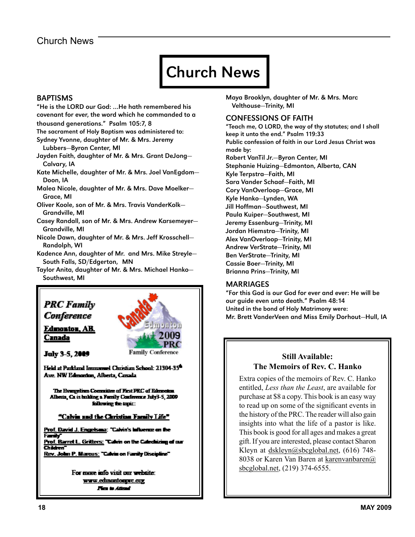#### Church News

### Church News

#### **BAPTISMS**

"He is the LORD our God: …He hath remembered his covenant for ever, the word which he commanded to a

thousand generations." Psalm 105:7, 8

- The sacrament of Holy Baptism was administered to:
- Sydney Yvonne, daughter of Mr. & Mrs. Jeremy Lubbers—Byron Center, MI
- Jayden Faith, daughter of Mr. & Mrs. Grant DeJong— Calvary, IA
- Kate Michelle, daughter of Mr. & Mrs. Joel VanEgdom— Doon, IA
- Malea Nicole, daughter of Mr. & Mrs. Dave Moelker— Grace, MI
- Oliver Koole, son of Mr. & Mrs. Travis VanderKolk— Grandville, MI
- Casey Randall, son of Mr. & Mrs. Andrew Karsemeyer— Grandville, MI

Nicole Dawn, daughter of Mr. & Mrs. Jeff Krosschell— Randolph, WI

Kadence Ann, daughter of Mr. and Mrs. Mike Streyle— South Falls, SD/Edgerton, MN

Taylor Anita, daughter of Mr. & Mrs. Michael Hanko— Southwest, MI



Edmonton, AB. Canada



**July 3-5, 2009** 

Held at Parkland Immanuel Christian School: 21304-35<sup>6</sup> Ave. NW Edmonton, Alberta, Canada

The Evangelian Committee of First FRC of Edmonton Alberta, Ca is building a Furnily Conference July3-5, 2009 following the topic:

"Calvin and the Christian Family Life"

<u> Prof. David J. Engelsma</u>: "Calvin's influenze on the Farik Prof. Barret L. Gritters: "Calvin on the Calechizing of our Children Rev. John P. Marcus: "Calvin on Family Discipline"

> For more into visit our website: www.edmontonprc.org Fim is Attack

Maya Brooklyn, daughter of Mr. & Mrs. Marc Velthouse—Trinity, MI

#### CONFESSIONS OF FAITH

"Teach me, O LORD, the way of thy statutes; and I shall keep it unto the end." Psalm 119:33 Public confession of faith in our Lord Jesus Christ was made by: Robert VanTil Jr.—Byron Center, MI Stephanie Huizing—Edmonton, Alberta, CAN Kyle Terpstra—Faith, MI Sara Vander Schaaf—Faith, MI Cory VanOverloop—Grace, MI Kyle Hanko—Lynden, WA Jill Hoffman—Southwest, MI Paula Kuiper—Southwest, MI Jeremy Essenburg—Trinity, MI Jordan Hiemstra—Trinity, MI Alex VanOverloop—Trinity, MI Andrew VerStrate—Trinity, MI Ben VerStrate—Trinity, MI Cassie Boer—Trinity, MI Brianna Prins—Trinity, MI

#### MARRIAGES

"For this God is our God for ever and ever: He will be our guide even unto death." Psalm 48:14 United in the bond of Holy Matrimony were: Mr. Brett VanderVeen and Miss Emily Dorhout—Hull, IA

#### **Still Available: The Memoirs of Rev. C. Hanko**

Extra copies of the memoirs of Rev. C. Hanko entitled, *Less than the Least*, are available for purchase at \$8 a copy. This book is an easy way to read up on some of the significant events in the history of the PRC. The reader will also gain insights into what the life of a pastor is like. This book is good for all ages and makes a great gift. If you are interested, please contact Sharon Kleyn at dskleyn@sbcglobal.net, (616) 748- 8038 or Karen Van Baren at karenvanbaren@ sbcglobal.net, (219) 374-6555.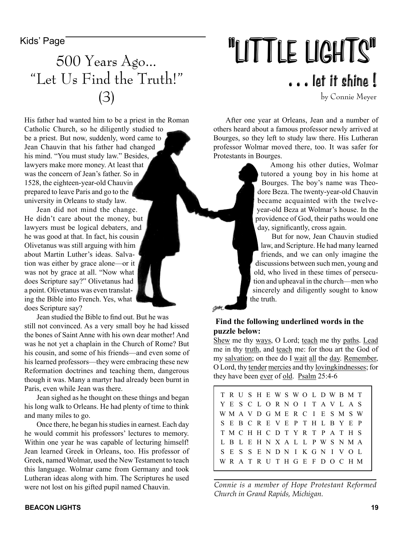### 500 Years Ago… "Let Us Find the Truth!" (3)

His father had wanted him to be a priest in the Roman Catholic Church, so he diligently studied to be a priest. But now, suddenly, word came to Jean Chauvin that his father had changed his mind. "You must study law." Besides, lawyers make more money. At least that was the concern of Jean's father. So in 1528, the eighteen-year-old Chauvin prepared to leave Paris and go to the university in Orleans to study law.

Jean did not mind the change. He didn't care about the money, but lawyers must be logical debaters, and he was good at that. In fact, his cousin Olivetanus was still arguing with him about Martin Luther's ideas. Salvation was either by grace alone—or it was not by grace at all. "Now what does Scripture say?" Olivetanus had a point. Olivetanus was even translating the Bible into French. Yes, what does Scripture say?

Jean studied the Bible to find out. But he was

still not convinced. As a very small boy he had kissed the bones of Saint Anne with his own dear mother! And was he not yet a chaplain in the Church of Rome? But his cousin, and some of his friends—and even some of his learned professors—they were embracing these new Reformation doctrines and teaching them, dangerous though it was. Many a martyr had already been burnt in Paris, even while Jean was there.

Jean sighed as he thought on these things and began his long walk to Orleans. He had plenty of time to think and many miles to go.

Once there, he began his studies in earnest. Each day he would commit his professors' lectures to memory. Within one year he was capable of lecturing himself! Jean learned Greek in Orleans, too. His professor of Greek, named Wolmar, used the New Testament to teach this language. Wolmar came from Germany and took Lutheran ideas along with him. The Scriptures he used were not lost on his gifted pupil named Chauvin.

## Kids' Page **The Soo Venus Adole** . . . let it shine !

by Connie Meyer

After one year at Orleans, Jean and a number of others heard about a famous professor newly arrived at Bourges, so they left to study law there. His Lutheran professor Wolmar moved there, too. It was safer for Protestants in Bourges.

Among his other duties, Wolmar tutored a young boy in his home at Bourges. The boy's name was Theodore Beza. The twenty-year-old Chauvin became acquainted with the twelveyear-old Beza at Wolmar's house. In the providence of God, their paths would one day, significantly, cross again.

But for now, Jean Chauvin studied law, and Scripture. He had many learned friends, and we can only imagine the discussions between such men, young and old, who lived in these times of persecution and upheaval in the church—men who sincerely and diligently sought to know the truth.

#### **Find the following underlined words in the puzzle below:**

Shew me thy ways, O Lord; teach me thy paths. Lead me in thy truth, and teach me: for thou art the God of my salvation; on thee do I wait all the day. Remember, O Lord, thy tender mercies and thy lovingkindnesses; for they have been ever of old. Psalm 25:4-6

| TRUSHEWSWOLDWBMT                |  |  |  |  |  |  |  |
|---------------------------------|--|--|--|--|--|--|--|
| Y E S C L O R N O I T A V L A S |  |  |  |  |  |  |  |
| WMAVDGMERCIESMSW                |  |  |  |  |  |  |  |
| S E B C R E V E P T H L B Y E P |  |  |  |  |  |  |  |
| T M C H H C D T Y R T P A T H S |  |  |  |  |  |  |  |
| L B L E H N X A L L P W S N M A |  |  |  |  |  |  |  |
| S E S S E N D N I K G N I V O L |  |  |  |  |  |  |  |
| WRATRUTHGEFDOCHM                |  |  |  |  |  |  |  |

*Connie is a member of Hope Protestant Reformed Church in Grand Rapids, Michigan.*